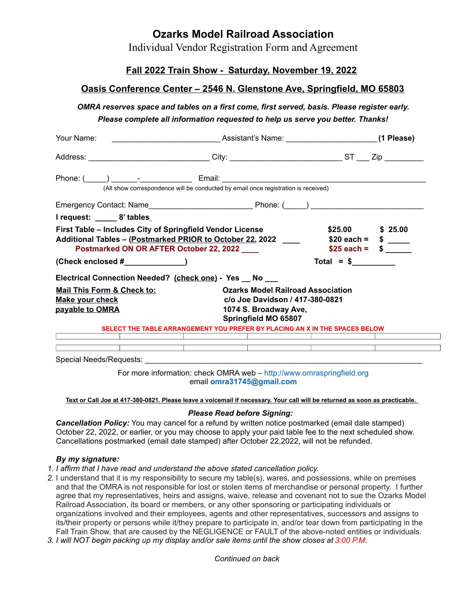## **Ozarks Model Railroad Association**

Individual Vendor Registration Form and Agreement

## **Fall 2022 Train Show - Saturday, November 19, 2022**

## **Oasis Conference Center – 2546 N. Glenstone Ave, Springfield, MO 65803**

*OMRA reserves space and tables on a first come, first served, basis. Please register early.*

*Please complete all information requested to help us serve you better. Thanks!*

| Your Name:                                                                                                                                                                                 |                                                                                                                              | (1 Please)                                                                                                    |  |
|--------------------------------------------------------------------------------------------------------------------------------------------------------------------------------------------|------------------------------------------------------------------------------------------------------------------------------|---------------------------------------------------------------------------------------------------------------|--|
| Address: ________________________________City: _______________________________ST ____ Zip __________                                                                                       |                                                                                                                              |                                                                                                               |  |
|                                                                                                                                                                                            |                                                                                                                              |                                                                                                               |  |
|                                                                                                                                                                                            | (All show correspondence will be conducted by email once registration is received)                                           |                                                                                                               |  |
|                                                                                                                                                                                            |                                                                                                                              |                                                                                                               |  |
| I request: ______ 8' tables_                                                                                                                                                               |                                                                                                                              |                                                                                                               |  |
| First Table - Includes City of Springfield Vendor License<br>Additional Tables - (Postmarked PRIOR to October 22, 2022 _____ \$20 each = \$ ___<br>Postmarked ON OR AFTER October 22, 2022 | $$25.00$ $$25.00$<br>$$25$ each = $$$ _____                                                                                  |                                                                                                               |  |
| $(Check enclosed # \_ \_ \_ \_ \_ \_ \_$                                                                                                                                                   | $Total = $$                                                                                                                  |                                                                                                               |  |
| Electrical Connection Needed? (check one) - Yes _ No __                                                                                                                                    |                                                                                                                              |                                                                                                               |  |
| <b>Mail This Form &amp; Check to:</b><br><b>Make your check</b><br>payable to OMRA                                                                                                         | <b>Ozarks Model Railroad Association</b><br>c/o Joe Davidson / 417-380-0821<br>1074 S. Broadway Ave,<br>Springfield MO 65807 |                                                                                                               |  |
|                                                                                                                                                                                            | SELECT THE TABLE ARRANGEMENT YOU PREFER BY PLACING AN X IN THE SPACES BELOW                                                  |                                                                                                               |  |
|                                                                                                                                                                                            | <u> 1989 - Jan Sterlinger, fransk politiker (</u><br><u> 1989 - Johann Barn, amerikansk politiker (</u>                      |                                                                                                               |  |
|                                                                                                                                                                                            | <u> 1989 - Johann Stoff, fransk politik (d. 1989)</u>                                                                        | 1000 - 1000 - 1000 - 1000 - 1000 - 1000 - 1000 - 1000 - 1000 - 1000 - 1000 - 1000 - 1000 - 1000 - 1000 - 1000 |  |

For more information: check OMRA web – [http://www.omraspringfield.org](http://www.omraspringfield.org/) [e](http://www.omraspringfield.org/)mail **[omra31745@gmail.com](mailto:omra31745@gmail.com)**

**Text or Call Joe at 417-380-0821. Please leave a voicemail if necessary. Your call will be returned as soon as practicable.**

#### *Please Read before Signing:*

**Cancellation Policy:** You may cancel for a refund by written notice postmarked (email date stamped) October 22, 2022, or earlier, or you may choose to apply your paid table fee to the next scheduled show. Cancellations postmarked (email date stamped) after October 22,2022, will not be refunded.

#### *By my signature:*

- *1. I affirm that I have read and understand the above stated cancellation policy.*
- *2.* I understand that it is my responsibility to secure my table(s), wares, and possessions, while on premises and that the OMRA is not responsible for lost or stolen items of merchandise or personal property. I further agree that my representatives, heirs and assigns, waive, release and covenant not to sue the Ozarks Model Railroad Association, its board or members, or any other sponsoring or participating individuals or organizations involved and their employees, agents and other representatives, successors and assigns to its/their property or persons while it/they prepare to participate in, and/or tear down from participating in the Fall Train Show, that are caused by the NEGLIGENCE or FAULT of the above-noted entities or individuals.
- *3. I will NOT begin packing up my display and/or sale items until the show closes at 3:00 P.M.*

*Continued on back*